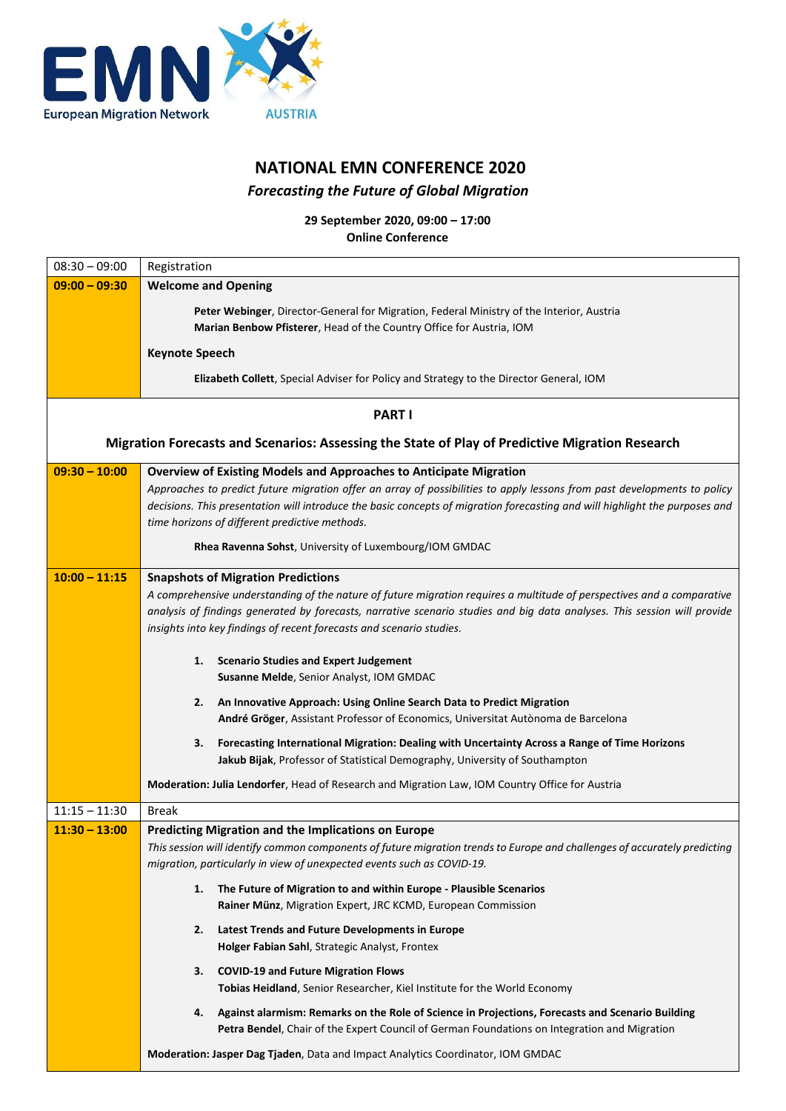

## **NATIONAL EMN CONFERENCE 2020** *Forecasting the Future of Global Migration*

**29 September 2020, 09:00 – 17:00 Online Conference**

| $08:30 - 09:00$                                                                                 | Registration                                                                                                                                                                       |  |
|-------------------------------------------------------------------------------------------------|------------------------------------------------------------------------------------------------------------------------------------------------------------------------------------|--|
| $09:00 - 09:30$                                                                                 | <b>Welcome and Opening</b>                                                                                                                                                         |  |
|                                                                                                 | Peter Webinger, Director-General for Migration, Federal Ministry of the Interior, Austria                                                                                          |  |
|                                                                                                 | Marian Benbow Pfisterer, Head of the Country Office for Austria, IOM                                                                                                               |  |
|                                                                                                 | <b>Keynote Speech</b>                                                                                                                                                              |  |
|                                                                                                 | Elizabeth Collett, Special Adviser for Policy and Strategy to the Director General, IOM                                                                                            |  |
|                                                                                                 |                                                                                                                                                                                    |  |
| <b>PART I</b>                                                                                   |                                                                                                                                                                                    |  |
| Migration Forecasts and Scenarios: Assessing the State of Play of Predictive Migration Research |                                                                                                                                                                                    |  |
| $09:30 - 10:00$                                                                                 | Overview of Existing Models and Approaches to Anticipate Migration                                                                                                                 |  |
|                                                                                                 | Approaches to predict future migration offer an array of possibilities to apply lessons from past developments to policy                                                           |  |
|                                                                                                 | decisions. This presentation will introduce the basic concepts of migration forecasting and will highlight the purposes and<br>time horizons of different predictive methods.      |  |
|                                                                                                 | Rhea Ravenna Sohst, University of Luxembourg/IOM GMDAC                                                                                                                             |  |
| $10:00 - 11:15$                                                                                 | <b>Snapshots of Migration Predictions</b>                                                                                                                                          |  |
|                                                                                                 | A comprehensive understanding of the nature of future migration requires a multitude of perspectives and a comparative                                                             |  |
|                                                                                                 | analysis of findings generated by forecasts, narrative scenario studies and big data analyses. This session will provide                                                           |  |
|                                                                                                 | insights into key findings of recent forecasts and scenario studies.                                                                                                               |  |
|                                                                                                 | <b>Scenario Studies and Expert Judgement</b><br>1.                                                                                                                                 |  |
|                                                                                                 | Susanne Melde, Senior Analyst, IOM GMDAC                                                                                                                                           |  |
|                                                                                                 | An Innovative Approach: Using Online Search Data to Predict Migration<br>2.                                                                                                        |  |
|                                                                                                 | André Gröger, Assistant Professor of Economics, Universitat Autònoma de Barcelona                                                                                                  |  |
|                                                                                                 | Forecasting International Migration: Dealing with Uncertainty Across a Range of Time Horizons<br>3.<br>Jakub Bijak, Professor of Statistical Demography, University of Southampton |  |
|                                                                                                 | Moderation: Julia Lendorfer, Head of Research and Migration Law, IOM Country Office for Austria                                                                                    |  |
| $11:15 - 11:30$                                                                                 | <b>Break</b>                                                                                                                                                                       |  |
| $11:30 - 13:00$                                                                                 | Predicting Migration and the Implications on Europe                                                                                                                                |  |
|                                                                                                 | This session will identify common components of future migration trends to Europe and challenges of accurately predicting                                                          |  |
|                                                                                                 | migration, particularly in view of unexpected events such as COVID-19.                                                                                                             |  |
|                                                                                                 | The Future of Migration to and within Europe - Plausible Scenarios<br>1.                                                                                                           |  |
|                                                                                                 | Rainer Münz, Migration Expert, JRC KCMD, European Commission                                                                                                                       |  |
|                                                                                                 | Latest Trends and Future Developments in Europe<br>2.                                                                                                                              |  |
|                                                                                                 | Holger Fabian Sahl, Strategic Analyst, Frontex                                                                                                                                     |  |
|                                                                                                 | <b>COVID-19 and Future Migration Flows</b><br>3.<br>Tobias Heidland, Senior Researcher, Kiel Institute for the World Economy                                                       |  |
|                                                                                                 | Against alarmism: Remarks on the Role of Science in Projections, Forecasts and Scenario Building<br>4.                                                                             |  |
|                                                                                                 | Petra Bendel, Chair of the Expert Council of German Foundations on Integration and Migration                                                                                       |  |
|                                                                                                 | Moderation: Jasper Dag Tjaden, Data and Impact Analytics Coordinator, IOM GMDAC                                                                                                    |  |